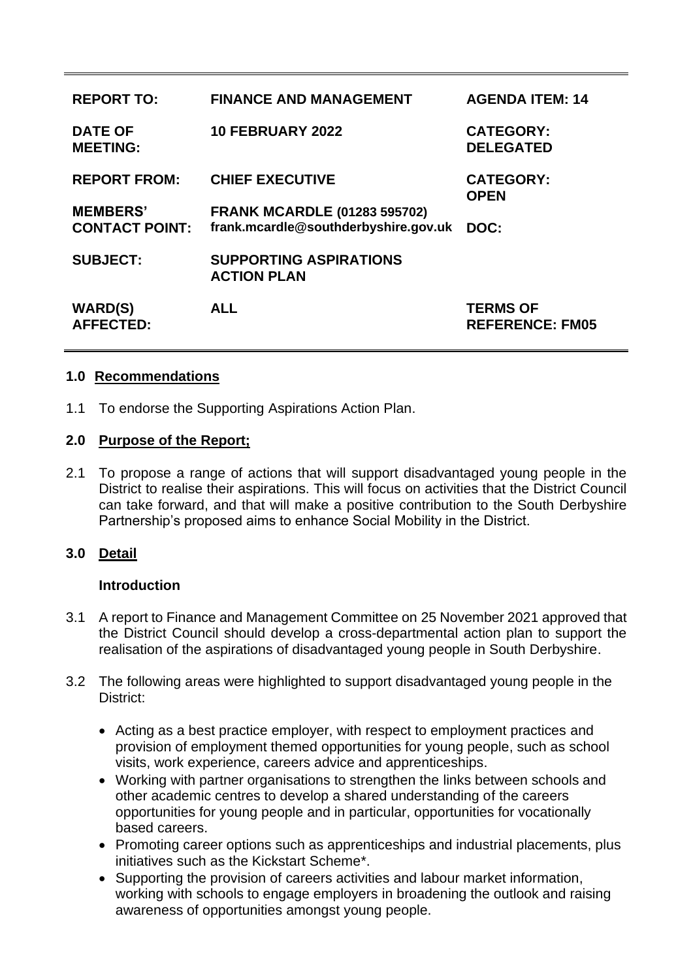| <b>REPORT TO:</b>                        | <b>FINANCE AND MANAGEMENT</b>                                               | <b>AGENDA ITEM: 14</b>                    |
|------------------------------------------|-----------------------------------------------------------------------------|-------------------------------------------|
| <b>DATE OF</b><br><b>MEETING:</b>        | <b>10 FEBRUARY 2022</b>                                                     | <b>CATEGORY:</b><br><b>DELEGATED</b>      |
| <b>REPORT FROM:</b>                      | <b>CHIEF EXECUTIVE</b>                                                      | <b>CATEGORY:</b><br><b>OPEN</b>           |
| <b>MEMBERS'</b><br><b>CONTACT POINT:</b> | <b>FRANK MCARDLE (01283 595702)</b><br>frank.mcardle@southderbyshire.gov.uk | DOC:                                      |
| <b>SUBJECT:</b>                          | <b>SUPPORTING ASPIRATIONS</b><br><b>ACTION PLAN</b>                         |                                           |
| <b>WARD(S)</b><br><b>AFFECTED:</b>       | <b>ALL</b>                                                                  | <b>TERMS OF</b><br><b>REFERENCE: FM05</b> |

## **1.0 Recommendations**

1.1 To endorse the Supporting Aspirations Action Plan.

## **2.0 Purpose of the Report;**

2.1 To propose a range of actions that will support disadvantaged young people in the District to realise their aspirations. This will focus on activities that the District Council can take forward, and that will make a positive contribution to the South Derbyshire Partnership's proposed aims to enhance Social Mobility in the District.

# **3.0 Detail**

# **Introduction**

- 3.1 A report to Finance and Management Committee on 25 November 2021 approved that the District Council should develop a cross-departmental action plan to support the realisation of the aspirations of disadvantaged young people in South Derbyshire.
- 3.2 The following areas were highlighted to support disadvantaged young people in the District:
	- Acting as a best practice employer, with respect to employment practices and provision of employment themed opportunities for young people, such as school visits, work experience, careers advice and apprenticeships.
	- Working with partner organisations to strengthen the links between schools and other academic centres to develop a shared understanding of the careers opportunities for young people and in particular, opportunities for vocationally based careers.
	- Promoting career options such as apprenticeships and industrial placements, plus initiatives such as the Kickstart Scheme\*.
	- Supporting the provision of careers activities and labour market information, working with schools to engage employers in broadening the outlook and raising awareness of opportunities amongst young people.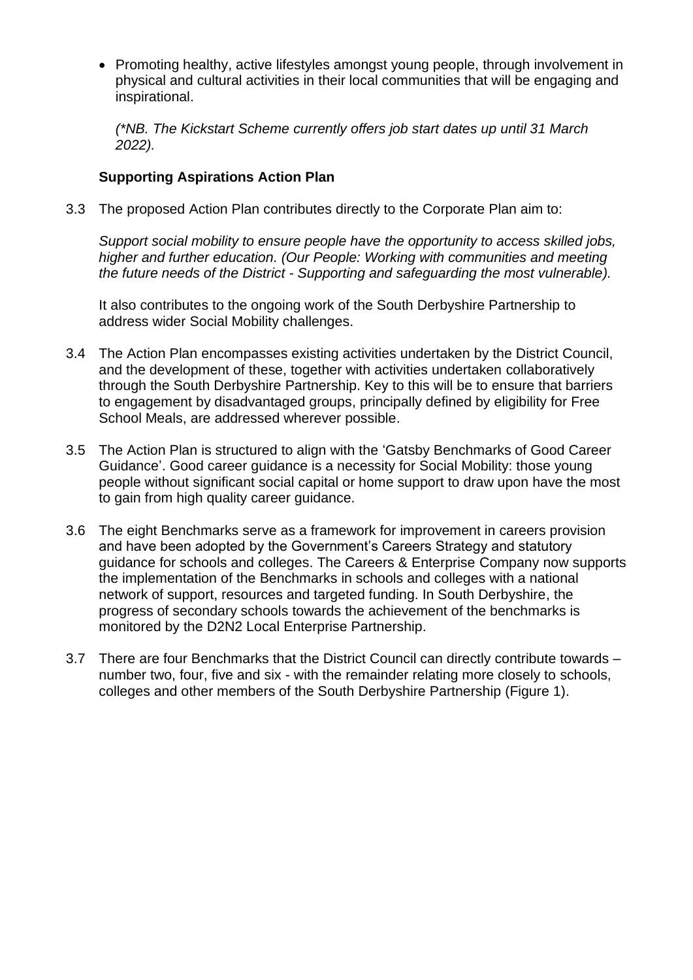• Promoting healthy, active lifestyles amongst young people, through involvement in physical and cultural activities in their local communities that will be engaging and inspirational.

*(\*NB. The Kickstart Scheme currently offers job start dates up until 31 March 2022).*

#### **Supporting Aspirations Action Plan**

3.3 The proposed Action Plan contributes directly to the Corporate Plan aim to:

*Support social mobility to ensure people have the opportunity to access skilled jobs, higher and further education. (Our People: Working with communities and meeting the future needs of the District - Supporting and safeguarding the most vulnerable).*

It also contributes to the ongoing work of the South Derbyshire Partnership to address wider Social Mobility challenges.

- 3.4 The Action Plan encompasses existing activities undertaken by the District Council, and the development of these, together with activities undertaken collaboratively through the South Derbyshire Partnership. Key to this will be to ensure that barriers to engagement by disadvantaged groups, principally defined by eligibility for Free School Meals, are addressed wherever possible.
- 3.5 The Action Plan is structured to align with the 'Gatsby Benchmarks of Good Career Guidance'. Good career guidance is a necessity for Social Mobility: those young people without significant social capital or home support to draw upon have the most to gain from high quality career guidance.
- 3.6 The eight Benchmarks serve as a framework for improvement in careers provision and have been adopted by the Government's Careers Strategy and statutory guidance for schools and colleges. The Careers & Enterprise Company now supports the implementation of the Benchmarks in schools and colleges with a national network of support, resources and targeted funding. In South Derbyshire, the progress of secondary schools towards the achievement of the benchmarks is monitored by the D2N2 Local Enterprise Partnership.
- 3.7 There are four Benchmarks that the District Council can directly contribute towards number two, four, five and six - with the remainder relating more closely to schools, colleges and other members of the South Derbyshire Partnership (Figure 1).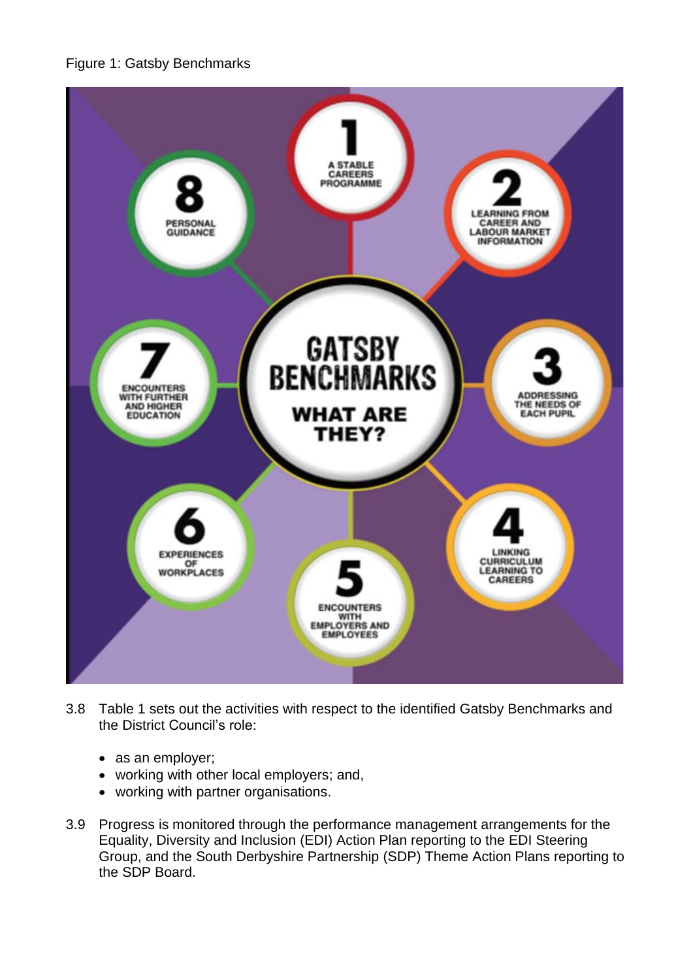



- 3.8 Table 1 sets out the activities with respect to the identified Gatsby Benchmarks and the District Council's role:
	- as an employer;
	- working with other local employers; and,
	- working with partner organisations.
- 3.9 Progress is monitored through the performance management arrangements for the Equality, Diversity and Inclusion (EDI) Action Plan reporting to the EDI Steering Group, and the South Derbyshire Partnership (SDP) Theme Action Plans reporting to the SDP Board.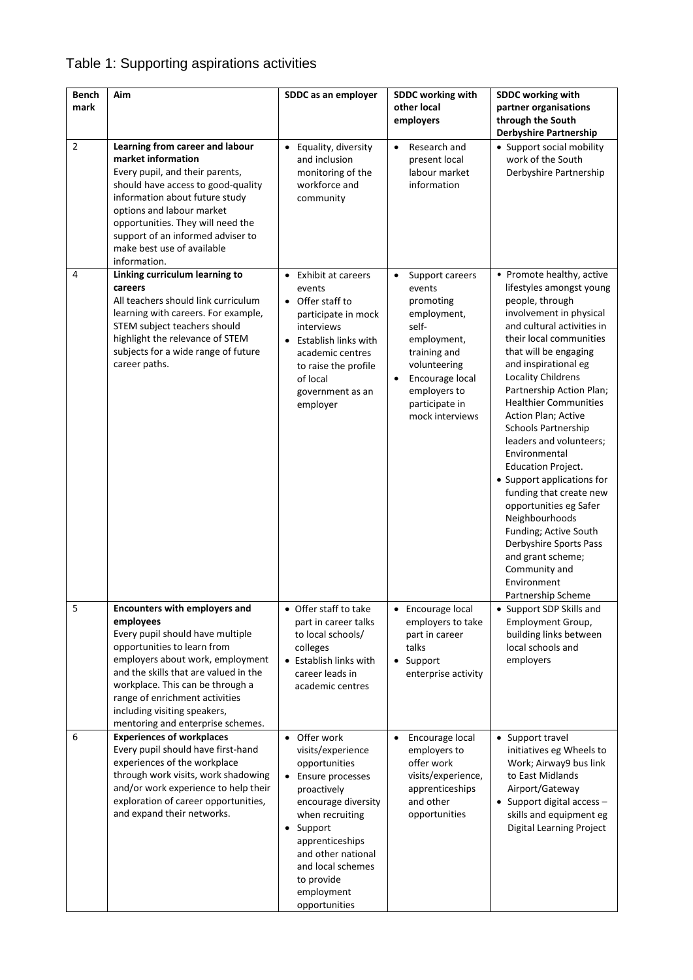# Table 1: Supporting aspirations activities

| <b>Bench</b><br>mark | Aim                                                                                                                                                                                                                                                                                                                                          | SDDC as an employer                                                                                                                                                                                                                                       | SDDC working with<br>other local<br>employers                                                                                                                                                                   | SDDC working with<br>partner organisations<br>through the South<br><b>Derbyshire Partnership</b>                                                                                                                                                                                                                                                                                                                                                                                                                                                                                                                                                                 |
|----------------------|----------------------------------------------------------------------------------------------------------------------------------------------------------------------------------------------------------------------------------------------------------------------------------------------------------------------------------------------|-----------------------------------------------------------------------------------------------------------------------------------------------------------------------------------------------------------------------------------------------------------|-----------------------------------------------------------------------------------------------------------------------------------------------------------------------------------------------------------------|------------------------------------------------------------------------------------------------------------------------------------------------------------------------------------------------------------------------------------------------------------------------------------------------------------------------------------------------------------------------------------------------------------------------------------------------------------------------------------------------------------------------------------------------------------------------------------------------------------------------------------------------------------------|
| $\overline{2}$       | Learning from career and labour<br>market information<br>Every pupil, and their parents,<br>should have access to good-quality<br>information about future study<br>options and labour market<br>opportunities. They will need the<br>support of an informed adviser to<br>make best use of available<br>information.                        | • Equality, diversity<br>and inclusion<br>monitoring of the<br>workforce and<br>community                                                                                                                                                                 | Research and<br>$\bullet$<br>present local<br>labour market<br>information                                                                                                                                      | • Support social mobility<br>work of the South<br>Derbyshire Partnership                                                                                                                                                                                                                                                                                                                                                                                                                                                                                                                                                                                         |
| 4                    | Linking curriculum learning to<br>careers<br>All teachers should link curriculum<br>learning with careers. For example,<br>STEM subject teachers should<br>highlight the relevance of STEM<br>subjects for a wide range of future<br>career paths.                                                                                           | • Exhibit at careers<br>events<br>• Offer staff to<br>participate in mock<br>interviews<br>• Establish links with<br>academic centres<br>to raise the profile<br>of local<br>government as an<br>employer                                                 | Support careers<br>$\bullet$<br>events<br>promoting<br>employment,<br>self-<br>employment,<br>training and<br>volunteering<br>Encourage local<br>$\bullet$<br>employers to<br>participate in<br>mock interviews | • Promote healthy, active<br>lifestyles amongst young<br>people, through<br>involvement in physical<br>and cultural activities in<br>their local communities<br>that will be engaging<br>and inspirational eg<br><b>Locality Childrens</b><br>Partnership Action Plan;<br><b>Healthier Communities</b><br>Action Plan; Active<br>Schools Partnership<br>leaders and volunteers;<br>Environmental<br><b>Education Project.</b><br>• Support applications for<br>funding that create new<br>opportunities eg Safer<br>Neighbourhoods<br>Funding; Active South<br>Derbyshire Sports Pass<br>and grant scheme;<br>Community and<br>Environment<br>Partnership Scheme |
| 5                    | <b>Encounters with employers and</b><br>employees<br>Every pupil should have multiple<br>opportunities to learn from<br>employers about work, employment<br>and the skills that are valued in the<br>workplace. This can be through a<br>range of enrichment activities<br>including visiting speakers,<br>mentoring and enterprise schemes. | • Offer staff to take<br>part in career talks<br>to local schools/<br>colleges<br>• Establish links with<br>career leads in<br>academic centres                                                                                                           | • Encourage local<br>employers to take<br>part in career<br>talks<br>• Support<br>enterprise activity                                                                                                           | • Support SDP Skills and<br>Employment Group,<br>building links between<br>local schools and<br>employers                                                                                                                                                                                                                                                                                                                                                                                                                                                                                                                                                        |
| 6                    | <b>Experiences of workplaces</b><br>Every pupil should have first-hand<br>experiences of the workplace<br>through work visits, work shadowing<br>and/or work experience to help their<br>exploration of career opportunities,<br>and expand their networks.                                                                                  | • Offer work<br>visits/experience<br>opportunities<br>• Ensure processes<br>proactively<br>encourage diversity<br>when recruiting<br>• Support<br>apprenticeships<br>and other national<br>and local schemes<br>to provide<br>employment<br>opportunities | Encourage local<br>$\bullet$<br>employers to<br>offer work<br>visits/experience,<br>apprenticeships<br>and other<br>opportunities                                                                               | • Support travel<br>initiatives eg Wheels to<br>Work; Airway9 bus link<br>to East Midlands<br>Airport/Gateway<br>• Support digital access -<br>skills and equipment eg<br>Digital Learning Project                                                                                                                                                                                                                                                                                                                                                                                                                                                               |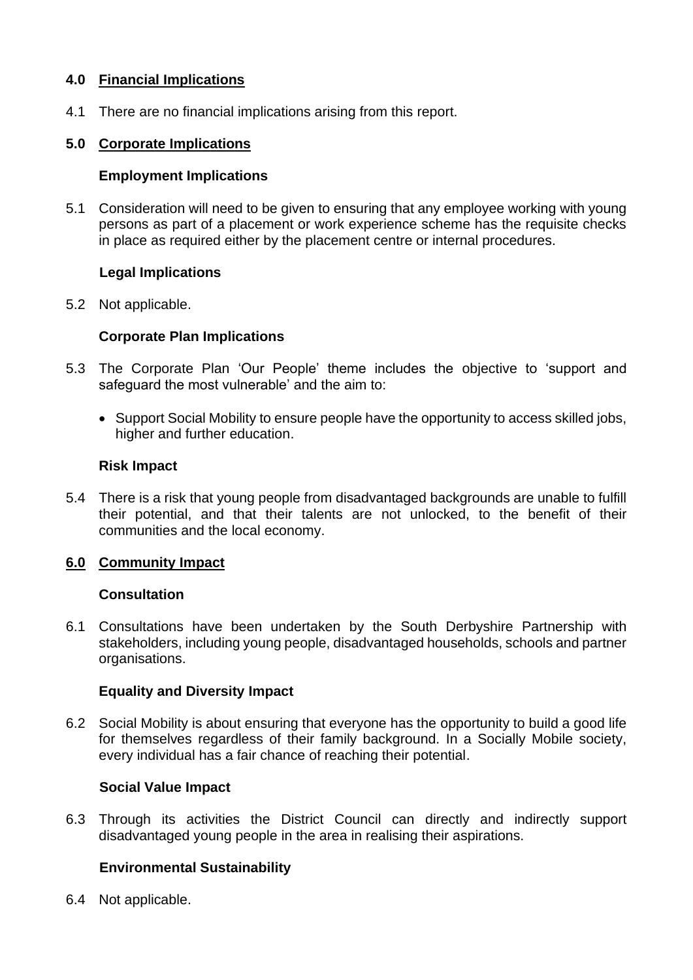## **4.0 Financial Implications**

4.1 There are no financial implications arising from this report.

## **5.0 Corporate Implications**

## **Employment Implications**

5.1 Consideration will need to be given to ensuring that any employee working with young persons as part of a placement or work experience scheme has the requisite checks in place as required either by the placement centre or internal procedures.

## **Legal Implications**

5.2 Not applicable.

## **Corporate Plan Implications**

- 5.3 The Corporate Plan 'Our People' theme includes the objective to 'support and safeguard the most vulnerable' and the aim to:
	- Support Social Mobility to ensure people have the opportunity to access skilled jobs, higher and further education.

#### **Risk Impact**

5.4 There is a risk that young people from disadvantaged backgrounds are unable to fulfill their potential, and that their talents are not unlocked, to the benefit of their communities and the local economy.

# **6.0 Community Impact**

#### **Consultation**

6.1 Consultations have been undertaken by the South Derbyshire Partnership with stakeholders, including young people, disadvantaged households, schools and partner organisations.

#### **Equality and Diversity Impact**

6.2 Social Mobility is about ensuring that everyone has the opportunity to build a good life for themselves regardless of their family background. In a Socially Mobile society, every individual has a fair chance of reaching their potential.

#### **Social Value Impact**

6.3 Through its activities the District Council can directly and indirectly support disadvantaged young people in the area in realising their aspirations.

# **Environmental Sustainability**

6.4 Not applicable.